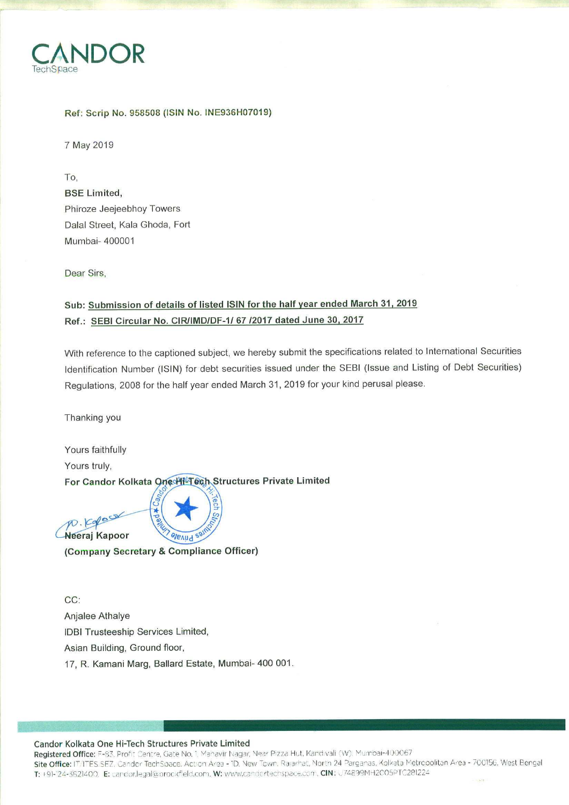

## Ref: Scrip No. 958508 (ISIN No. INE936H07019)

7 May 2019

To, **BSE Limited,** Phiroze Jeejeebhoy Towers Dalal Street, Kala Ghoda, Fort Mumbai- 400001

Dear Sirs,

## Sub: Submission of details of listed ISIN for the half year ended March 31, 2019 Ref.: SEBI Circular No. CIR/IMD/DF-1/ 67 /2017 dated June 30, 2017

With reference to the captioned subject, we hereby submit the specifications related to International Securities Identification Number (ISIN) for debt securities issued under the SEBI (Issue and Listing of Debt Securities) Regulations, 2008 for the half year ended March 31, 2019 for your kind perusal please.

Thanking you

 $D.$  $Col$ Neeraj Kapoor

Yours faithfully Yours truly, For Candor Kolkata One HillTech Structures Private Limited

**alexud** (Company Secretary & Compliance Officer)

 $CC:$ Anjalee Athalye **IDBI Trusteeship Services Limited,** Asian Building, Ground floor, 17, R. Kamani Marg, Ballard Estate, Mumbai- 400 001.

## Candor Kolkata One Hi-Tech Structures Private Limited

Registered Office: F-83, Profit Centre, Gate No. 1, Mahavir Nagar, Near Pizza Hut, Kandivali (W), Mumbai-400067 Site Office: IT/ITES SEZ, Candor TechSpace, Action Area - 1D, New Town, Rajarhat, North 24 Parganas, Kolkata Metropolitan Area - 700156, West Bengal T: +91-124-3621400. E: candor.legal@brockfield.com. W: www.candortechspace.com. CIN: U74899MH2C05PTC281224